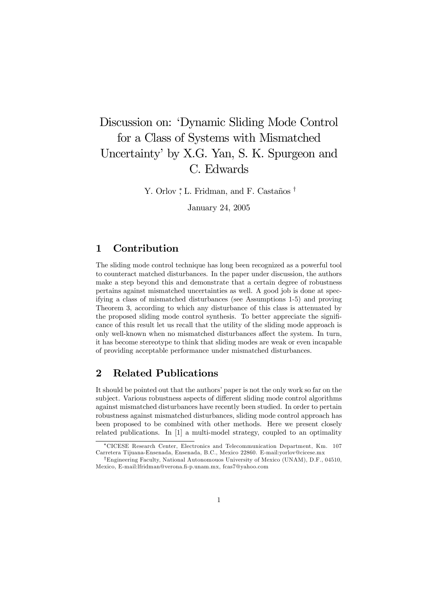# Discussion on: 'Dynamic Sliding Mode Control for a Class of Systems with Mismatched Uncertainty' by X.G. Yan, S. K. Spurgeon and C. Edwards

Y. Orlov <sup>\*</sup>, L. Fridman, and F. Castaños <sup>†</sup>

January 24, 2005

## 1 Contribution

The sliding mode control technique has long been recognized as a powerful tool to counteract matched disturbances. In the paper under discussion, the authors make a step beyond this and demonstrate that a certain degree of robustness pertains against mismatched uncertainties as well. A good job is done at specifying a class of mismatched disturbances (see Assumptions 1-5) and proving Theorem 3, according to which any disturbance of this class is attenuated by the proposed sliding mode control synthesis. To better appreciate the significance of this result let us recall that the utility of the sliding mode approach is only well-known when no mismatched disturbances affect the system. In turn, it has become stereotype to think that sliding modes are weak or even incapable of providing acceptable performance under mismatched disturbances.

### 2 Related Publications

It should be pointed out that the authors' paper is not the only work so far on the subject. Various robustness aspects of different sliding mode control algorithms against mismatched disturbances have recently been studied. In order to pertain robustness against mismatched disturbances, sliding mode control approach has been proposed to be combined with other methods. Here we present closely related publications. In [1] a multi-model strategy, coupled to an optimality

<sup>∗</sup>CICESE Research Center, Electronics and Telecommunication Department, Km. 107 Carretera Tijuana-Ensenada, Ensenada, B.C., Mexico 22860. E-mail:yorlov@cicese.mx

<sup>†</sup>Engineering Faculty, National Autonomouos University of Mexico (UNAM), D.F., 04510, Mexico, E-mail:lfridman@verona.fi-p.unam.mx, fcas7@yahoo.com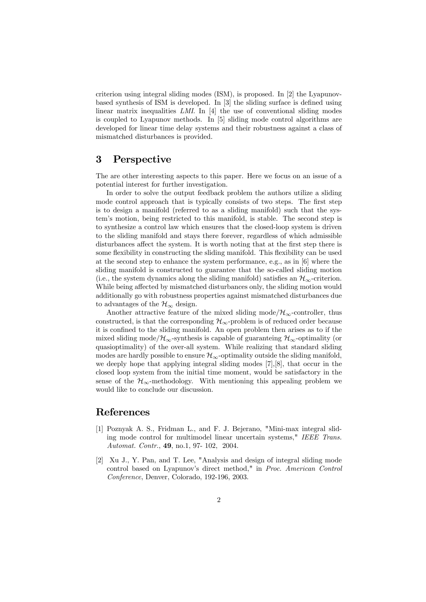criterion using integral sliding modes (ISM), is proposed. In [2] the Lyapunovbased synthesis of ISM is developed. In [3] the sliding surface is defined using linear matrix inequalities LMI. In [4] the use of conventional sliding modes is coupled to Lyapunov methods. In [5] sliding mode control algorithms are developed for linear time delay systems and their robustness against a class of mismatched disturbances is provided.

#### 3 Perspective

The are other interesting aspects to this paper. Here we focus on an issue of a potential interest for further investigation.

In order to solve the output feedback problem the authors utilize a sliding mode control approach that is typically consists of two steps. The first step is to design a manifold (referred to as a sliding manifold) such that the system's motion, being restricted to this manifold, is stable. The second step is to synthesize a control law which ensures that the closed-loop system is driven to the sliding manifold and stays there forever, regardless of which admissible disturbances affect the system. It is worth noting that at the first step there is some flexibility in constructing the sliding manifold. This flexibility can be used at the second step to enhance the system performance, e.g., as in [6] where the sliding manifold is constructed to guarantee that the so-called sliding motion (i.e., the system dynamics along the sliding manifold) satisfies an  $\mathcal{H}_{\infty}$ -criterion. While being affected by mismatched disturbances only, the sliding motion would additionally go with robustness properties against mismatched disturbances due to advantages of the  $\mathcal{H}_{\infty}$  design.

Another attractive feature of the mixed sliding mode/ $\mathcal{H}_{\infty}$ -controller, thus constructed, is that the corresponding  $\mathcal{H}_{\infty}$ -problem is of reduced order because it is confined to the sliding manifold. An open problem then arises as to if the mixed sliding mode/ $\mathcal{H}_{\infty}$ -synthesis is capable of guaranteing  $\mathcal{H}_{\infty}$ -optimality (or quasioptimality) of the over-all system. While realizing that standard sliding modes are hardly possible to ensure  $\mathcal{H}_{\infty}$ -optimality outside the sliding manifold, we deeply hope that applying integral sliding modes [7],[8], that occur in the closed loop system from the initial time moment, would be satisfactory in the sense of the  $\mathcal{H}_{\infty}$ -methodology. With mentioning this appealing problem we would like to conclude our discussion.

#### References

- [1] Poznyak A. S., Fridman L., and F. J. Bejerano, "Mini-max integral sliding mode control for multimodel linear uncertain systems," IEEE Trans. Automat. Contr., 49, no.1, 97- 102, 2004.
- [2] Xu J., Y. Pan, and T. Lee, "Analysis and design of integral sliding mode control based on Lyapunov's direct method," in Proc. American Control Conference, Denver, Colorado, 192-196, 2003.